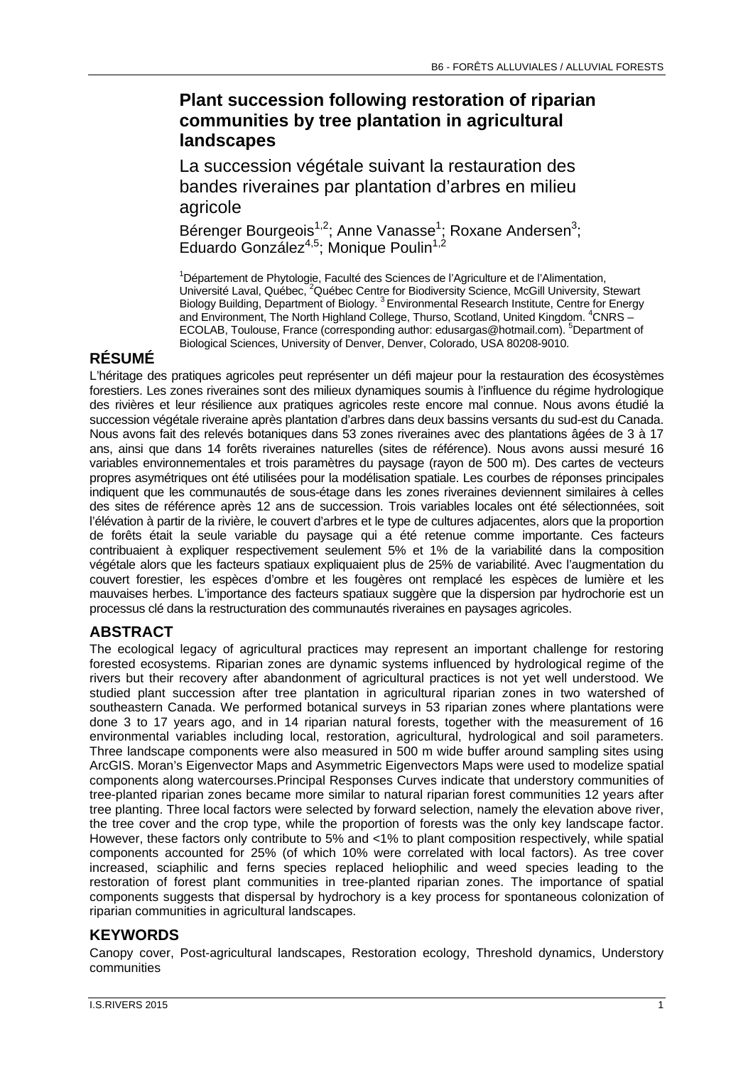# **Plant succession following restoration of riparian communities by tree plantation in agricultural landscapes**

La succession végétale suivant la restauration des bandes riveraines par plantation d'arbres en milieu agricole

Bérenger Bourgeois<sup>1,2</sup>; Anne Vanasse<sup>1</sup>; Roxane Andersen<sup>3</sup>; Eduardo González<sup>4,5</sup>; Monique Poulin<sup>1,2</sup>

<sup>1</sup>Département de Phytologie, Faculté des Sciences de l'Agriculture et de l'Alimentation, Université Laval, Québec, <sup>2</sup>Québec Centre for Biodiversity Science, McGill University, Stewart Biology Building, Department of Biology. 3 Environmental Research Institute, Centre for Energy and Environment, The North Highland College, Thurso, Scotland, United Kingdom. <sup>4</sup>CNRS -ECOLAB, Toulouse, France (corresponding author: edusargas@hotmail.com). <sup>5</sup>Department of Biological Sciences, University of Denver, Denver, Colorado, USA 80208-9010.

# **RÉSUMÉ**

L'héritage des pratiques agricoles peut représenter un défi majeur pour la restauration des écosystèmes forestiers. Les zones riveraines sont des milieux dynamiques soumis à l'influence du régime hydrologique des rivières et leur résilience aux pratiques agricoles reste encore mal connue. Nous avons étudié la succession végétale riveraine après plantation d'arbres dans deux bassins versants du sud-est du Canada. Nous avons fait des relevés botaniques dans 53 zones riveraines avec des plantations âgées de 3 à 17 ans, ainsi que dans 14 forêts riveraines naturelles (sites de référence). Nous avons aussi mesuré 16 variables environnementales et trois paramètres du paysage (rayon de 500 m). Des cartes de vecteurs propres asymétriques ont été utilisées pour la modélisation spatiale. Les courbes de réponses principales indiquent que les communautés de sous-étage dans les zones riveraines deviennent similaires à celles des sites de référence après 12 ans de succession. Trois variables locales ont été sélectionnées, soit l'élévation à partir de la rivière, le couvert d'arbres et le type de cultures adjacentes, alors que la proportion de forêts était la seule variable du paysage qui a été retenue comme importante. Ces facteurs contribuaient à expliquer respectivement seulement 5% et 1% de la variabilité dans la composition végétale alors que les facteurs spatiaux expliquaient plus de 25% de variabilité. Avec l'augmentation du couvert forestier, les espèces d'ombre et les fougères ont remplacé les espèces de lumière et les mauvaises herbes. L'importance des facteurs spatiaux suggère que la dispersion par hydrochorie est un processus clé dans la restructuration des communautés riveraines en paysages agricoles.

### **ABSTRACT**

The ecological legacy of agricultural practices may represent an important challenge for restoring forested ecosystems. Riparian zones are dynamic systems influenced by hydrological regime of the rivers but their recovery after abandonment of agricultural practices is not yet well understood. We studied plant succession after tree plantation in agricultural riparian zones in two watershed of southeastern Canada. We performed botanical surveys in 53 riparian zones where plantations were done 3 to 17 years ago, and in 14 riparian natural forests, together with the measurement of 16 environmental variables including local, restoration, agricultural, hydrological and soil parameters. Three landscape components were also measured in 500 m wide buffer around sampling sites using ArcGIS. Moran's Eigenvector Maps and Asymmetric Eigenvectors Maps were used to modelize spatial components along watercourses.Principal Responses Curves indicate that understory communities of tree-planted riparian zones became more similar to natural riparian forest communities 12 years after tree planting. Three local factors were selected by forward selection, namely the elevation above river, the tree cover and the crop type, while the proportion of forests was the only key landscape factor. However, these factors only contribute to 5% and <1% to plant composition respectively, while spatial components accounted for 25% (of which 10% were correlated with local factors). As tree cover increased, sciaphilic and ferns species replaced heliophilic and weed species leading to the restoration of forest plant communities in tree-planted riparian zones. The importance of spatial components suggests that dispersal by hydrochory is a key process for spontaneous colonization of riparian communities in agricultural landscapes.

#### **KEYWORDS**

Canopy cover, Post-agricultural landscapes, Restoration ecology, Threshold dynamics, Understory communities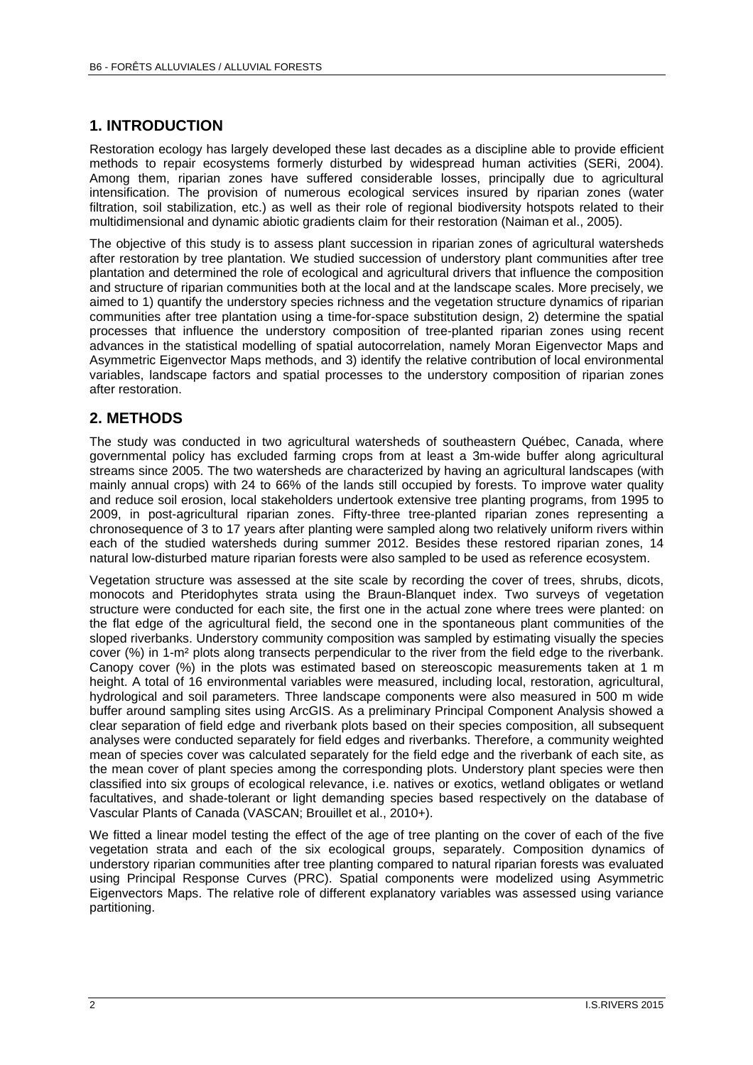#### **1. INTRODUCTION**

Restoration ecology has largely developed these last decades as a discipline able to provide efficient methods to repair ecosystems formerly disturbed by widespread human activities (SERi, 2004). Among them, riparian zones have suffered considerable losses, principally due to agricultural intensification. The provision of numerous ecological services insured by riparian zones (water filtration, soil stabilization, etc.) as well as their role of regional biodiversity hotspots related to their multidimensional and dynamic abiotic gradients claim for their restoration (Naiman et al., 2005).

The objective of this study is to assess plant succession in riparian zones of agricultural watersheds after restoration by tree plantation. We studied succession of understory plant communities after tree plantation and determined the role of ecological and agricultural drivers that influence the composition and structure of riparian communities both at the local and at the landscape scales. More precisely, we aimed to 1) quantify the understory species richness and the vegetation structure dynamics of riparian communities after tree plantation using a time-for-space substitution design, 2) determine the spatial processes that influence the understory composition of tree-planted riparian zones using recent advances in the statistical modelling of spatial autocorrelation, namely Moran Eigenvector Maps and Asymmetric Eigenvector Maps methods, and 3) identify the relative contribution of local environmental variables, landscape factors and spatial processes to the understory composition of riparian zones after restoration.

#### **2. METHODS**

The study was conducted in two agricultural watersheds of southeastern Québec, Canada, where governmental policy has excluded farming crops from at least a 3m-wide buffer along agricultural streams since 2005. The two watersheds are characterized by having an agricultural landscapes (with mainly annual crops) with 24 to 66% of the lands still occupied by forests. To improve water quality and reduce soil erosion, local stakeholders undertook extensive tree planting programs, from 1995 to 2009, in post-agricultural riparian zones. Fifty-three tree-planted riparian zones representing a chronosequence of 3 to 17 years after planting were sampled along two relatively uniform rivers within each of the studied watersheds during summer 2012. Besides these restored riparian zones, 14 natural low-disturbed mature riparian forests were also sampled to be used as reference ecosystem.

Vegetation structure was assessed at the site scale by recording the cover of trees, shrubs, dicots, monocots and Pteridophytes strata using the Braun-Blanquet index. Two surveys of vegetation structure were conducted for each site, the first one in the actual zone where trees were planted: on the flat edge of the agricultural field, the second one in the spontaneous plant communities of the sloped riverbanks. Understory community composition was sampled by estimating visually the species cover (%) in 1-m² plots along transects perpendicular to the river from the field edge to the riverbank. Canopy cover (%) in the plots was estimated based on stereoscopic measurements taken at 1 m height. A total of 16 environmental variables were measured, including local, restoration, agricultural, hydrological and soil parameters. Three landscape components were also measured in 500 m wide buffer around sampling sites using ArcGIS. As a preliminary Principal Component Analysis showed a clear separation of field edge and riverbank plots based on their species composition, all subsequent analyses were conducted separately for field edges and riverbanks. Therefore, a community weighted mean of species cover was calculated separately for the field edge and the riverbank of each site, as the mean cover of plant species among the corresponding plots. Understory plant species were then classified into six groups of ecological relevance, i.e. natives or exotics, wetland obligates or wetland facultatives, and shade-tolerant or light demanding species based respectively on the database of Vascular Plants of Canada (VASCAN; Brouillet et al., 2010+).

We fitted a linear model testing the effect of the age of tree planting on the cover of each of the five vegetation strata and each of the six ecological groups, separately. Composition dynamics of understory riparian communities after tree planting compared to natural riparian forests was evaluated using Principal Response Curves (PRC). Spatial components were modelized using Asymmetric Eigenvectors Maps. The relative role of different explanatory variables was assessed using variance partitioning.